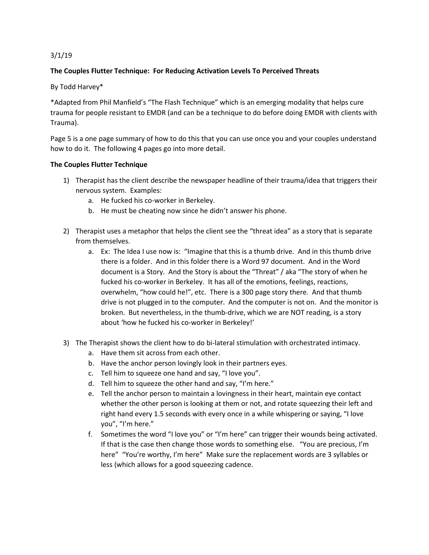### 3/1/19

#### **The Couples Flutter Technique: For Reducing Activation Levels To Perceived Threats**

By Todd Harvey\*

\*Adapted from Phil Manfield's "The Flash Technique" which is an emerging modality that helps cure trauma for people resistant to EMDR (and can be a technique to do before doing EMDR with clients with Trauma).

Page 5 is a one page summary of how to do this that you can use once you and your couples understand how to do it. The following 4 pages go into more detail.

#### **The Couples Flutter Technique**

- 1) Therapist has the client describe the newspaper headline of their trauma/idea that triggers their nervous system. Examples:
	- a. He fucked his co-worker in Berkeley.
	- b. He must be cheating now since he didn't answer his phone.
- 2) Therapist uses a metaphor that helps the client see the "threat idea" as a story that is separate from themselves.
	- a. Ex: The Idea I use now is: "Imagine that this is a thumb drive. And in this thumb drive there is a folder. And in this folder there is a Word 97 document. And in the Word document is a Story. And the Story is about the "Threat" / aka "The story of when he fucked his co-worker in Berkeley. It has all of the emotions, feelings, reactions, overwhelm, "how could he!", etc. There is a 300 page story there. And that thumb drive is not plugged in to the computer. And the computer is not on. And the monitor is broken. But nevertheless, in the thumb-drive, which we are NOT reading, is a story about 'how he fucked his co-worker in Berkeley!'
- 3) The Therapist shows the client how to do bi-lateral stimulation with orchestrated intimacy.
	- a. Have them sit across from each other.
	- b. Have the anchor person lovingly look in their partners eyes.
	- c. Tell him to squeeze one hand and say, "I love you".
	- d. Tell him to squeeze the other hand and say, "I'm here."
	- e. Tell the anchor person to maintain a lovingness in their heart, maintain eye contact whether the other person is looking at them or not, and rotate squeezing their left and right hand every 1.5 seconds with every once in a while whispering or saying, "I love you", "I'm here."
	- f. Sometimes the word "I love you" or "I'm here" can trigger their wounds being activated. If that is the case then change those words to something else. "You are precious, I'm here" "You're worthy, I'm here" Make sure the replacement words are 3 syllables or less (which allows for a good squeezing cadence.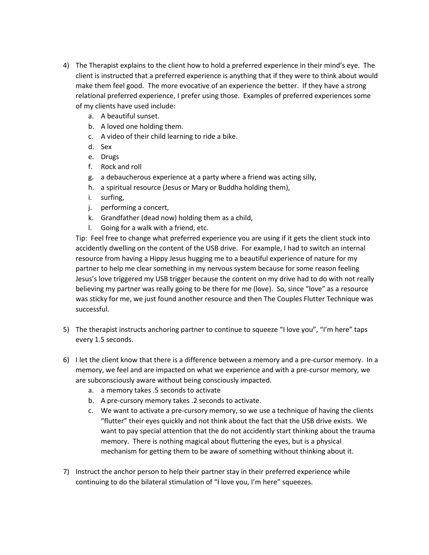- 4) The Therapist explains to the client how to hold a preferred experience in their mind's eye. The client is instructed that a preferred experience is anything that if they were to think about would make them feel good. The more evocative of an experience the better. If they have a strong relational preferred experience, I prefer using those. Examples of preferred experiences some of my clients have used include:
	- a. A beautiful sunset.
	- b. A loved one holding them.
	- c. A video of their child learning to ride a bike.
	- d. Sex
	- e. Drugs
	- f. Rock and roll
	- g. a debaucherous experience at a party where a friend was acting silly,
	- h. a spiritual resource (Jesus or Mary or Buddha holding them),
	- i. surfing,
	- j. performing a concert,
	- k. Grandfather (dead now) holding them as a child,
	- l. Going for a walk with a friend, etc.

Tip: Feel free to change what preferred experience you are using if it gets the client stuck into accidently dwelling on the content of the USB drive. For example, I had to switch an internal resource from having a Hippy Jesus hugging me to a beautiful experience of nature for my partner to help me clear something in my nervous system because for some reason feeling Jesus's love triggered my USB trigger because the content on my drive had to do with not really believing my partner was really going to be there for me (love). So, since "love" as a resource was sticky for me, we just found another resource and then The Couples Flutter Technique was successful.

- 5) The therapist instructs anchoring partner to continue to squeeze "I love you", "I'm here" taps every 1.5 seconds.
- 6) I let the client know that there is a difference between a memory and a pre-cursor memory. In a memory, we feel and are impacted on what we experience and with a pre-cursor memory, we are subconsciously aware without being consciously impacted.
	- a. a memory takes .5 seconds to activate
	- b. A pre-cursory memory takes .2 seconds to activate.
	- c. We want to activate a pre-cursory memory, so we use a technique of having the clients "flutter" their eyes quickly and not think about the fact that the USB drive exists. We want to pay special attention that the do not accidently start thinking about the trauma memory. There is nothing magical about fluttering the eyes, but is a physical mechanism for getting them to be aware of something without thinking about it.
- 7) Instruct the anchor person to help their partner stay in their preferred experience while continuing to do the bilateral stimulation of "I love you, I'm here" squeezes.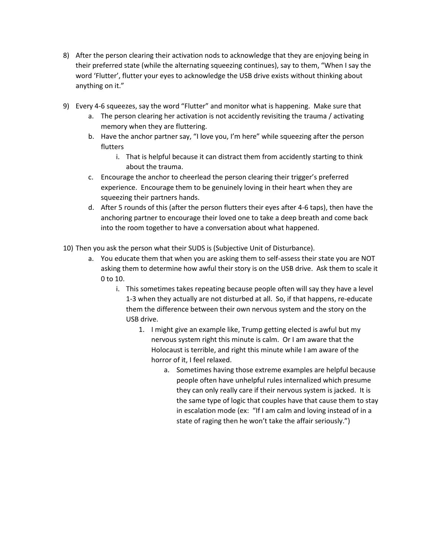- 8) After the person clearing their activation nods to acknowledge that they are enjoying being in their preferred state (while the alternating squeezing continues), say to them, "When I say the word 'Flutter', flutter your eyes to acknowledge the USB drive exists without thinking about anything on it."
- 9) Every 4-6 squeezes, say the word "Flutter" and monitor what is happening. Make sure that
	- a. The person clearing her activation is not accidently revisiting the trauma / activating memory when they are fluttering.
	- b. Have the anchor partner say, "I love you, I'm here" while squeezing after the person flutters
		- i. That is helpful because it can distract them from accidently starting to think about the trauma.
	- c. Encourage the anchor to cheerlead the person clearing their trigger's preferred experience. Encourage them to be genuinely loving in their heart when they are squeezing their partners hands.
	- d. After 5 rounds of this (after the person flutters their eyes after 4-6 taps), then have the anchoring partner to encourage their loved one to take a deep breath and come back into the room together to have a conversation about what happened.
- 10) Then you ask the person what their SUDS is (Subjective Unit of Disturbance).
	- a. You educate them that when you are asking them to self-assess their state you are NOT asking them to determine how awful their story is on the USB drive. Ask them to scale it 0 to 10.
		- i. This sometimes takes repeating because people often will say they have a level 1-3 when they actually are not disturbed at all. So, if that happens, re-educate them the difference between their own nervous system and the story on the USB drive.
			- 1. I might give an example like, Trump getting elected is awful but my nervous system right this minute is calm. Or I am aware that the Holocaust is terrible, and right this minute while I am aware of the horror of it, I feel relaxed.
				- a. Sometimes having those extreme examples are helpful because people often have unhelpful rules internalized which presume they can only really care if their nervous system is jacked. It is the same type of logic that couples have that cause them to stay in escalation mode (ex: "If I am calm and loving instead of in a state of raging then he won't take the affair seriously.")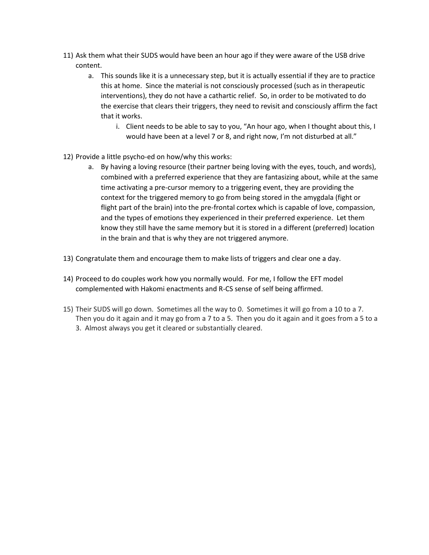- 11) Ask them what their SUDS would have been an hour ago if they were aware of the USB drive content.
	- a. This sounds like it is a unnecessary step, but it is actually essential if they are to practice this at home. Since the material is not consciously processed (such as in therapeutic interventions), they do not have a cathartic relief. So, in order to be motivated to do the exercise that clears their triggers, they need to revisit and consciously affirm the fact that it works.
		- i. Client needs to be able to say to you, "An hour ago, when I thought about this, I would have been at a level 7 or 8, and right now, I'm not disturbed at all."
- 12) Provide a little psycho-ed on how/why this works:
	- a. By having a loving resource (their partner being loving with the eyes, touch, and words), combined with a preferred experience that they are fantasizing about, while at the same time activating a pre-cursor memory to a triggering event, they are providing the context for the triggered memory to go from being stored in the amygdala (fight or flight part of the brain) into the pre-frontal cortex which is capable of love, compassion, and the types of emotions they experienced in their preferred experience. Let them know they still have the same memory but it is stored in a different (preferred) location in the brain and that is why they are not triggered anymore.
- 13) Congratulate them and encourage them to make lists of triggers and clear one a day.
- 14) Proceed to do couples work how you normally would. For me, I follow the EFT model complemented with Hakomi enactments and R-CS sense of self being affirmed.
- 15) Their SUDS will go down. Sometimes all the way to 0. Sometimes it will go from a 10 to a 7. Then you do it again and it may go from a 7 to a 5. Then you do it again and it goes from a 5 to a 3. Almost always you get it cleared or substantially cleared.